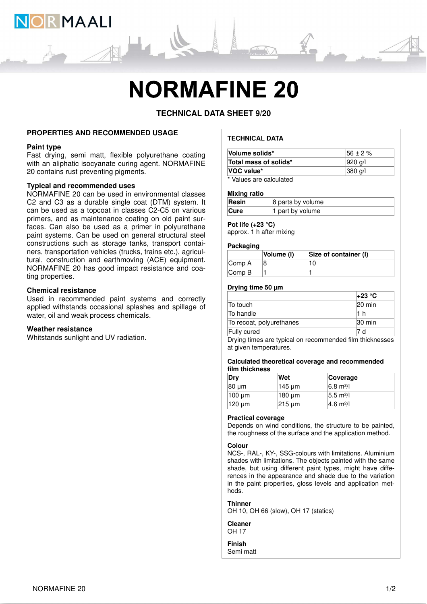

# **NORMAFINE 20**

# **TECHNICAL DATA SHEET 9/20**

#### **PROPERTIES AND RECOMMENDED USAGE**

#### **Paint type**

Fast drying, semi matt, flexible polyurethane coating with an aliphatic isocyanate curing agent. NORMAFINE 20 contains rust preventing pigments.

# **Typical and recommended uses**

NORMAFINE 20 can be used in environmental classes C2 and C3 as a durable single coat (DTM) system. It can be used as a topcoat in classes C2-C5 on various primers, and as maintenance coating on old paint surfaces. Can also be used as a primer in polyurethane paint systems. Can be used on general structural steel constructions such as storage tanks, transport containers, transportation vehicles (trucks, trains etc.), agricultural, construction and earthmoving (ACE) equipment. NORMAFINE 20 has good impact resistance and coating properties.

#### **Chemical resistance**

Used in recommended paint systems and correctly applied withstands occasional splashes and spillage of water, oil and weak process chemicals.

#### **Weather resistance**

Whitstands sunlight and UV radiation.

# **TECHNICAL DATA**

| Volume solids*           | $156 \pm 2 \%$     |
|--------------------------|--------------------|
| Total mass of solids*    | $ 920 \text{ q}$   |
| <b>VOC</b> value*        | $ 380 \text{ q}/ $ |
| * Malusa ava aalaulataal |                    |

Values are calculated

#### **Mixing ratio**

| Resin       | 8 parts by volume |
|-------------|-------------------|
| <b>Cure</b> | 1 part by volume  |

# **Pot life (+23 °C)**

approx. 1 h after mixing

#### **Packaging**

|                             | <b>Volume (I)</b> | Size of container (I) |
|-----------------------------|-------------------|-----------------------|
| Comp A                      |                   |                       |
| $\mathsf{Comp}\,\mathsf{B}$ |                   |                       |

#### **Drying time 50 µm**

|                           | l+23 °C            |
|---------------------------|--------------------|
| To touch                  | $ 20 \text{ min} $ |
| To handle                 |                    |
| To recoat, polyurethanes  | $ 30 \text{ min} $ |
| Fully cured               |                    |
| .<br>$\sim$ $\sim$ $\sim$ | .<br>.             |

Drying times are typical on recommended film thicknesses at given temperatures.

#### **Calculated theoretical coverage and recommended film thickness**

| Dry    | Wet    | Coverage                     |
|--------|--------|------------------------------|
| 80 µm  | 145 µm | $6.8 \text{ m}^2$ /          |
| 100 um | 180 um | $ 5.5 \text{ m}^2 $          |
| 120 um | 215 um | $ 4.6 \text{ m}^2/\text{l} $ |

#### **Practical coverage**

Depends on wind conditions, the structure to be painted, the roughness of the surface and the application method.

#### **Colour**

NCS-, RAL-, KY-, SSG-colours with limitations. Aluminium shades with limitations. The objects painted with the same shade, but using different paint types, might have differences in the appearance and shade due to the variation in the paint properties, gloss levels and application methods.

#### **Thinner**

OH 10, OH 66 (slow), OH 17 (statics)

**Cleaner** OH 17

**Finish** Semi matt